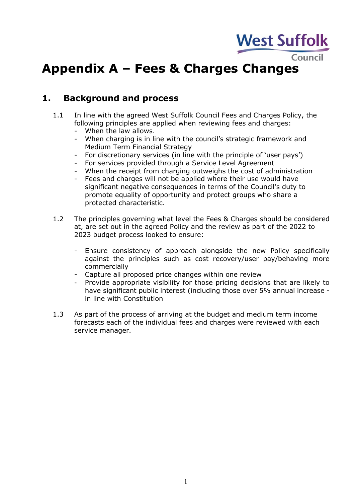

## **Appendix A – Fees & Charges Changes**

## **1. Background and process**

- 1.1 In line with the agreed West Suffolk Council Fees and Charges Policy, the following principles are applied when reviewing fees and charges:
	- When the law allows.
	- When charging is in line with the council's strategic framework and Medium Term Financial Strategy
	- For discretionary services (in line with the principle of 'user pays')
	- For services provided through a Service Level Agreement
	- When the receipt from charging outweighs the cost of administration
	- Fees and charges will not be applied where their use would have significant negative consequences in terms of the Council's duty to promote equality of opportunity and protect groups who share a protected characteristic.
- 1.2 The principles governing what level the Fees & Charges should be considered at, are set out in the agreed Policy and the review as part of the 2022 to 2023 budget process looked to ensure:
	- Ensure consistency of approach alongside the new Policy specifically against the principles such as cost recovery/user pay/behaving more commercially
	- Capture all proposed price changes within one review
	- Provide appropriate visibility for those pricing decisions that are likely to have significant public interest (including those over 5% annual increase in line with Constitution
- 1.3 As part of the process of arriving at the budget and medium term income forecasts each of the individual fees and charges were reviewed with each service manager.